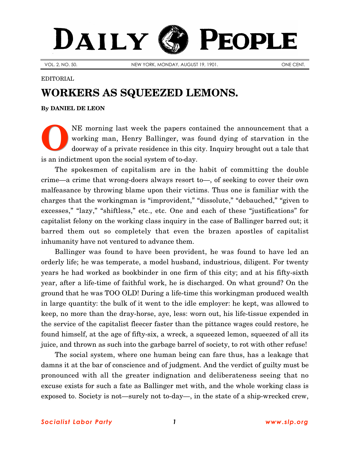## DAILY PEOPLE

VOL. 2, NO. 50. NEW YORK, MONDAY, AUGUST 19, 1901. ONE CENT.

## EDITORIAL

## **WORKERS AS SQUEEZED LEMONS.**

**By [DANIEL DE LEON](http://www.slp.org/De_Leon.htm)**

NE morning last week the papers contained the announcement that a working man, Henry Ballinger, was found dying of starvation in the doorway of a private residence in this city. Inquiry brought out a tale that is an indictment upon the social system of to-day. **O**

The spokesmen of capitalism are in the habit of committing the double crime—a crime that wrong-doers always resort to—, of seeking to cover their own malfeasance by throwing blame upon their victims. Thus one is familiar with the charges that the workingman is "improvident," "dissolute," "debauched," "given to excesses," "lazy," "shiftless," etc., etc. One and each of these "justifications" for capitalist felony on the working class inquiry in the case of Ballinger barred out; it barred them out so completely that even the brazen apostles of capitalist inhumanity have not ventured to advance them.

Ballinger was found to have been provident, he was found to have led an orderly life; he was temperate, a model husband, industrious, diligent. For twenty years he had worked as bookbinder in one firm of this city; and at his fifty-sixth year, after a life-time of faithful work, he is discharged. On what ground? On the ground that he was TOO OLD! During a life-time this workingman produced wealth in large quantity: the bulk of it went to the idle employer: he kept, was allowed to keep, no more than the dray-horse, aye, less: worn out, his life-tissue expended in the service of the capitalist fleecer faster than the pittance wages could restore, he found himself, at the age of fifty-six, a wreck, a squeezed lemon, squeezed of all its juice, and thrown as such into the garbage barrel of society, to rot with other refuse!

The social system, where one human being can fare thus, has a leakage that damns it at the bar of conscience and of judgment. And the verdict of guilty must be pronounced with all the greater indignation and deliberateness seeing that no excuse exists for such a fate as Ballinger met with, and the whole working class is exposed to. Society is not—surely not to-day—, in the state of a ship-wrecked crew,